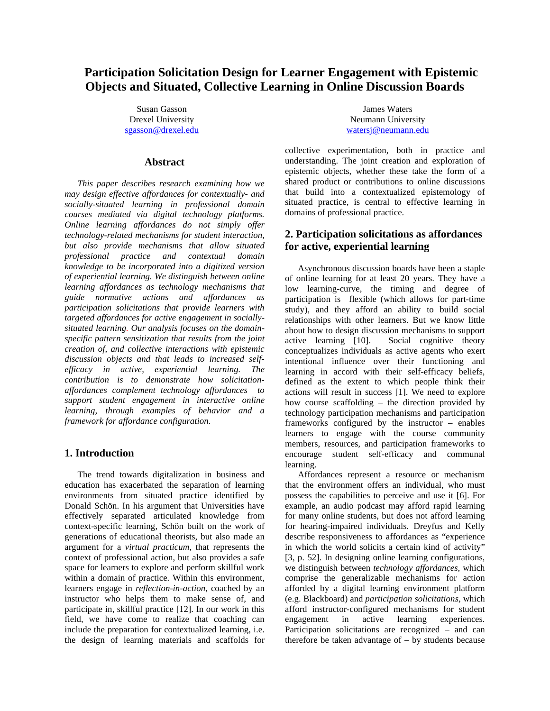# **Participation Solicitation Design for Learner Engagement with Epistemic Objects and Situated, Collective Learning in Online Discussion Boards**

Susan Gasson Drexel University [sgasson@drexel.edu](mailto:sgasson@drexel.edu)

### **Abstract**

*This paper describes research examining how we may design effective affordances for contextually- and socially-situated learning in professional domain courses mediated via digital technology platforms. Online learning affordances do not simply offer technology-related mechanisms for student interaction, but also provide mechanisms that allow situated professional practice and contextual domain knowledge to be incorporated into a digitized version of experiential learning. We distinguish between online learning affordances as technology mechanisms that guide normative actions and affordances as participation solicitations that provide learners with targeted affordances for active engagement in sociallysituated learning. Our analysis focuses on the domainspecific pattern sensitization that results from the joint creation of, and collective interactions with epistemic discussion objects and that leads to increased selfefficacy in active, experiential learning. The contribution is to demonstrate how solicitationaffordances complement technology affordances to support student engagement in interactive online learning, through examples of behavior and a framework for affordance configuration.*

#### **1. Introduction**

The trend towards digitalization in business and education has exacerbated the separation of learning environments from situated practice identified by Donald Schön. In his argument that Universities have effectively separated articulated knowledge from context-specific learning, Schön built on the work of generations of educational theorists, but also made an argument for a *virtual practicum*, that represents the context of professional action, but also provides a safe space for learners to explore and perform skillful work within a domain of practice. Within this environment, learners engage in *reflection-in-action*, coached by an instructor who helps them to make sense of, and participate in, skillful practice [12]. In our work in this field, we have come to realize that coaching can include the preparation for contextualized learning, i.e. the design of learning materials and scaffolds for

James Waters Neumann University [watersj@neumann.edu](mailto:watersj@neumann.edu)

collective experimentation, both in practice and understanding. The joint creation and exploration of epistemic objects, whether these take the form of a shared product or contributions to online discussions that build into a contextualized epistemology of situated practice, is central to effective learning in domains of professional practice.

## **2. Participation solicitations as affordances for active, experiential learning**

Asynchronous discussion boards have been a staple of online learning for at least 20 years. They have a low learning-curve, the timing and degree of participation is flexible (which allows for part-time study), and they afford an ability to build social relationships with other learners. But we know little about how to design discussion mechanisms to support active learning [10]. Social cognitive theory conceptualizes individuals as active agents who exert intentional influence over their functioning and learning in accord with their self-efficacy beliefs, defined as the extent to which people think their actions will result in success [1]. We need to explore how course scaffolding – the direction provided by technology participation mechanisms and participation frameworks configured by the instructor – enables learners to engage with the course community members, resources, and participation frameworks to encourage student self-efficacy and communal learning.

Affordances represent a resource or mechanism that the environment offers an individual, who must possess the capabilities to perceive and use it [6]. For example, an audio podcast may afford rapid learning for many online students, but does not afford learning for hearing-impaired individuals. Dreyfus and Kelly describe responsiveness to affordances as "experience in which the world solicits a certain kind of activity" [3, p. 52]. In designing online learning configurations, we distinguish between *technology affordances*, which comprise the generalizable mechanisms for action afforded by a digital learning environment platform (e.g. Blackboard) and *participation solicitations*, which afford instructor-configured mechanisms for student engagement in active learning experiences. Participation solicitations are recognized – and can therefore be taken advantage of – by students because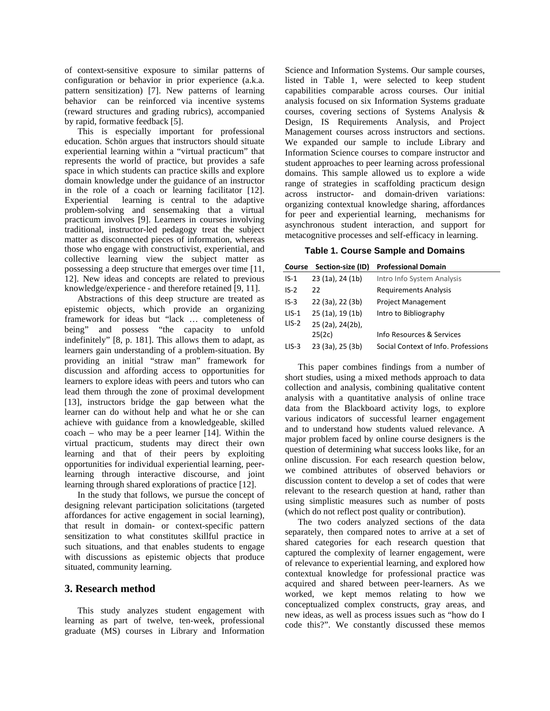of context-sensitive exposure to similar patterns of configuration or behavior in prior experience (a.k.a. pattern sensitization) [7]. New patterns of learning behavior can be reinforced via incentive systems (reward structures and grading rubrics), accompanied by rapid, formative feedback [5].

This is especially important for professional education. Schön argues that instructors should situate experiential learning within a "virtual practicum" that represents the world of practice, but provides a safe space in which students can practice skills and explore domain knowledge under the guidance of an instructor in the role of a coach or learning facilitator [12]. Experiential learning is central to the adaptive problem-solving and sensemaking that a virtual practicum involves [9]. Learners in courses involving traditional, instructor-led pedagogy treat the subject matter as disconnected pieces of information, whereas those who engage with constructivist, experiential, and collective learning view the subject matter as possessing a deep structure that emerges over time [11, 12]. New ideas and concepts are related to previous knowledge/experience - and therefore retained [9, 11].

Abstractions of this deep structure are treated as epistemic objects, which provide an organizing framework for ideas but "lack … completeness of being" and possess "the capacity to unfold indefinitely" [8, p. 181]. This allows them to adapt, as learners gain understanding of a problem-situation. By providing an initial "straw man" framework for discussion and affording access to opportunities for learners to explore ideas with peers and tutors who can lead them through the zone of proximal development [13], instructors bridge the gap between what the learner can do without help and what he or she can achieve with guidance from a knowledgeable, skilled coach – who may be a peer learner [14]. Within the virtual practicum, students may direct their own learning and that of their peers by exploiting opportunities for individual experiential learning, peerlearning through interactive discourse, and joint learning through shared explorations of practice [12].

In the study that follows, we pursue the concept of designing relevant participation solicitations (targeted affordances for active engagement in social learning), that result in domain- or context-specific pattern sensitization to what constitutes skillful practice in such situations, and that enables students to engage with discussions as epistemic objects that produce situated, community learning.

## **3. Research method**

This study analyzes student engagement with learning as part of twelve, ten-week, professional graduate (MS) courses in Library and Information Science and Information Systems. Our sample courses, listed in Table 1, were selected to keep student capabilities comparable across courses. Our initial analysis focused on six Information Systems graduate courses, covering sections of Systems Analysis & Design, IS Requirements Analysis, and Project Management courses across instructors and sections. We expanded our sample to include Library and Information Science courses to compare instructor and student approaches to peer learning across professional domains. This sample allowed us to explore a wide range of strategies in scaffolding practicum design across instructor- and domain-driven variations: organizing contextual knowledge sharing, affordances for peer and experiential learning, mechanisms for asynchronous student interaction, and support for metacognitive processes and self-efficacy in learning.

#### **Table 1. Course Sample and Domains**

|  |  | Course Section-size (ID) Professional Domain |
|--|--|----------------------------------------------|
|--|--|----------------------------------------------|

| $IS-1$  | 23 (1a), 24 (1b) | Intro Info System Analysis          |
|---------|------------------|-------------------------------------|
| $IS-2$  | 22               | <b>Requirements Analysis</b>        |
| $IS-3$  | 22 (3a), 22 (3b) | <b>Project Management</b>           |
| $LIS-1$ | 25 (1a), 19 (1b) | Intro to Bibliography               |
| $LIS-2$ | 25 (2a), 24(2b), |                                     |
|         | 25(2c)           | Info Resources & Services           |
| $LIS-3$ | 23 (3a), 25 (3b) | Social Context of Info. Professions |

This paper combines findings from a number of short studies, using a mixed methods approach to data collection and analysis, combining qualitative content analysis with a quantitative analysis of online trace data from the Blackboard activity logs, to explore various indicators of successful learner engagement and to understand how students valued relevance. A major problem faced by online course designers is the question of determining what success looks like, for an online discussion. For each research question below, we combined attributes of observed behaviors or discussion content to develop a set of codes that were relevant to the research question at hand, rather than using simplistic measures such as number of posts (which do not reflect post quality or contribution).

The two coders analyzed sections of the data separately, then compared notes to arrive at a set of shared categories for each research question that captured the complexity of learner engagement, were of relevance to experiential learning, and explored how contextual knowledge for professional practice was acquired and shared between peer-learners. As we worked, we kept memos relating to how we conceptualized complex constructs, gray areas, and new ideas, as well as process issues such as "how do I code this?". We constantly discussed these memos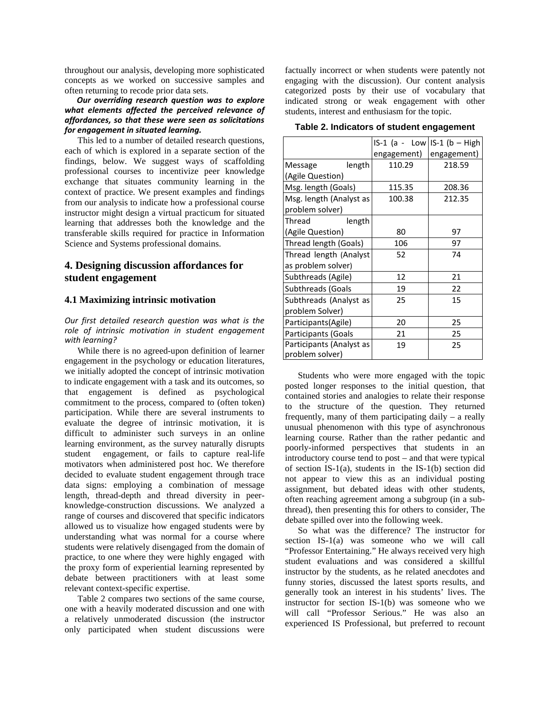throughout our analysis, developing more sophisticated concepts as we worked on successive samples and often returning to recode prior data sets.

#### *Our overriding research question was to explore what elements affected the perceived relevance of affordances, so that these were seen as solicitations for engagement in situated learning.*

This led to a number of detailed research questions, each of which is explored in a separate section of the findings, below. We suggest ways of scaffolding professional courses to incentivize peer knowledge exchange that situates community learning in the context of practice. We present examples and findings from our analysis to indicate how a professional course instructor might design a virtual practicum for situated learning that addresses both the knowledge and the transferable skills required for practice in Information Science and Systems professional domains.

## **4. Designing discussion affordances for student engagement**

#### **4.1 Maximizing intrinsic motivation**

*Our first detailed research question was what is the role of intrinsic motivation in student engagement with learning?* 

While there is no agreed-upon definition of learner engagement in the psychology or education literatures, we initially adopted the concept of intrinsic motivation to indicate engagement with a task and its outcomes, so that engagement is defined as psychological commitment to the process, compared to (often token) participation. While there are several instruments to evaluate the degree of intrinsic motivation, it is difficult to administer such surveys in an online learning environment, as the survey naturally disrupts student engagement, or fails to capture real-life motivators when administered post hoc. We therefore decided to evaluate student engagement through trace data signs: employing a combination of message length, thread-depth and thread diversity in peerknowledge-construction discussions. We analyzed a range of courses and discovered that specific indicators allowed us to visualize how engaged students were by understanding what was normal for a course where students were relatively disengaged from the domain of practice, to one where they were highly engaged with the proxy form of experiential learning represented by debate between practitioners with at least some relevant context-specific expertise.

Table 2 compares two sections of the same course, one with a heavily moderated discussion and one with a relatively unmoderated discussion (the instructor only participated when student discussions were

factually incorrect or when students were patently not engaging with the discussion). Our content analysis categorized posts by their use of vocabulary that indicated strong or weak engagement with other students, interest and enthusiasm for the topic.

**Table 2. Indicators of student engagement** 

|                          | $IS-1$ (a - Low IS-1 (b – High |             |
|--------------------------|--------------------------------|-------------|
|                          | engagement)                    | engagement) |
| length<br>Message        | 110.29                         | 218.59      |
| (Agile Question)         |                                |             |
| Msg. length (Goals)      | 115.35                         | 208.36      |
| Msg. length (Analyst as  | 100.38                         | 212.35      |
| problem solver)          |                                |             |
| Thread<br>length         |                                |             |
| (Agile Question)         | 80                             | 97          |
| Thread length (Goals)    | 106                            | 97          |
| Thread length (Analyst)  | 52                             | 74          |
| as problem solver)       |                                |             |
| Subthreads (Agile)       | 12                             | 21          |
| Subthreads (Goals        | 19                             | 22          |
| Subthreads (Analyst as   | 25                             | 15          |
| problem Solver)          |                                |             |
| Participants(Agile)      | 20                             | 25          |
| Participants (Goals      | 21                             | 25          |
| Participants (Analyst as | 19                             | 25          |
| problem solver)          |                                |             |

Students who were more engaged with the topic posted longer responses to the initial question, that contained stories and analogies to relate their response to the structure of the question. They returned frequently, many of them participating daily – a really unusual phenomenon with this type of asynchronous learning course. Rather than the rather pedantic and poorly-informed perspectives that students in an introductory course tend to post – and that were typical of section IS-1(a), students in the IS-1(b) section did not appear to view this as an individual posting assignment, but debated ideas with other students, often reaching agreement among a subgroup (in a subthread), then presenting this for others to consider, The debate spilled over into the following week.

So what was the difference? The instructor for section IS-1(a) was someone who we will call "Professor Entertaining." He always received very high student evaluations and was considered a skillful instructor by the students, as he related anecdotes and funny stories, discussed the latest sports results, and generally took an interest in his students' lives. The instructor for section IS-1(b) was someone who we will call "Professor Serious." He was also an experienced IS Professional, but preferred to recount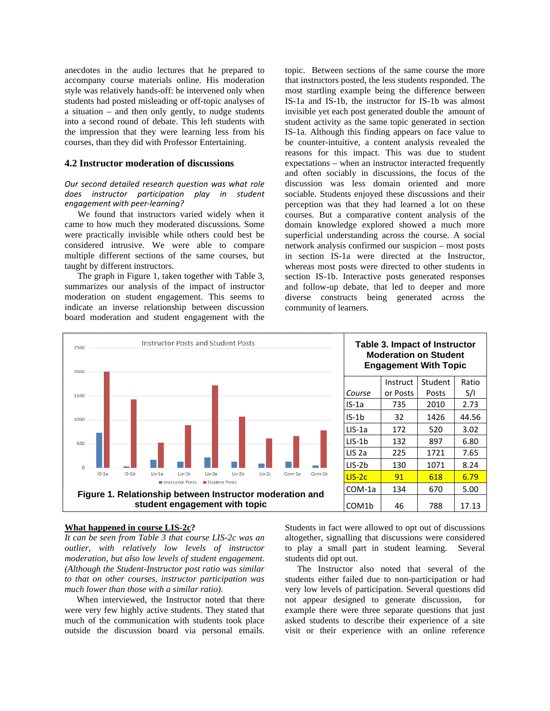anecdotes in the audio lectures that he prepared to accompany course materials online. His moderation style was relatively hands-off: he intervened only when students had posted misleading or off-topic analyses of a situation – and then only gently, to nudge students into a second round of debate. This left students with the impression that they were learning less from his courses, than they did with Professor Entertaining.

#### **4.2 Instructor moderation of discussions**

#### *Our second detailed research question was what role does instructor participation play in student engagement with peer-learning?*

We found that instructors varied widely when it came to how much they moderated discussions. Some were practically invisible while others could best be considered intrusive. We were able to compare multiple different sections of the same courses, but taught by different instructors.

The graph in Figure 1, taken together with Table 3, summarizes our analysis of the impact of instructor moderation on student engagement. This seems to indicate an inverse relationship between discussion board moderation and student engagement with the

topic. Between sections of the same course the more that instructors posted, the less students responded. The most startling example being the difference between IS-1a and IS-1b, the instructor for IS-1b was almost invisible yet each post generated double the amount of student activity as the same topic generated in section IS-1a. Although this finding appears on face value to be counter-intuitive, a content analysis revealed the reasons for this impact. This was due to student expectations – when an instructor interacted frequently and often sociably in discussions, the focus of the discussion was less domain oriented and more sociable. Students enjoyed these discussions and their perception was that they had learned a lot on these courses. But a comparative content analysis of the domain knowledge explored showed a much more superficial understanding across the course. A social network analysis confirmed our suspicion – most posts in section IS-1a were directed at the Instructor, whereas most posts were directed to other students in section IS-1b. Interactive posts generated responses and follow-up debate, that led to deeper and more diverse constructs being generated across the community of learners.



#### **What happened in course LIS-2c?**

*It can be seen from Table 3 that course LIS-2c was an outlier, with relatively low levels of instructor moderation, but also low levels of student engagement. (Although the Student-Instructor post ratio was similar to that on other courses, instructor participation was much lower than those with a similar ratio).* 

When interviewed, the Instructor noted that there were very few highly active students. They stated that much of the communication with students took place outside the discussion board via personal emails. Students in fact were allowed to opt out of discussions altogether, signalling that discussions were considered to play a small part in student learning. Several students did opt out.

The Instructor also noted that several of the students either failed due to non-participation or had very low levels of participation. Several questions did not appear designed to generate discussion, for example there were three separate questions that just asked students to describe their experience of a site visit or their experience with an online reference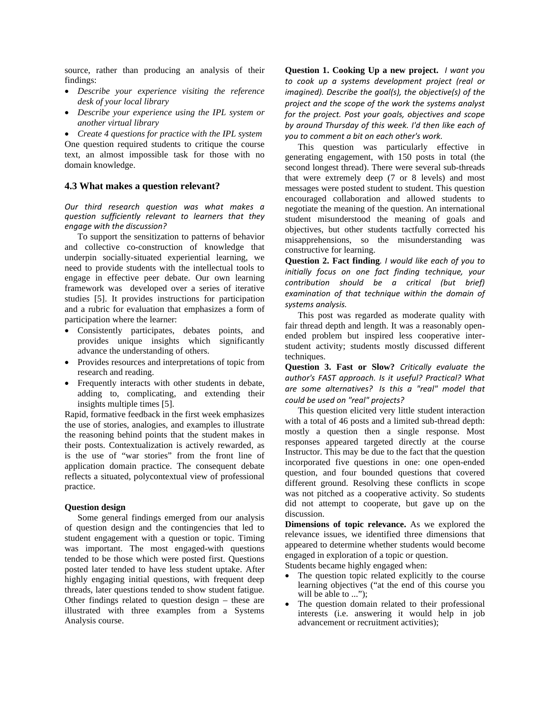source, rather than producing an analysis of their findings:

- *Describe your experience visiting the reference desk of your local library*
- *Describe your experience using the IPL system or another virtual library*

• *Create 4 questions for practice with the IPL system* One question required students to critique the course text, an almost impossible task for those with no domain knowledge.

## **4.3 What makes a question relevant?**

*Our third research question was what makes a question sufficiently relevant to learners that they engage with the discussion?*

To support the sensitization to patterns of behavior and collective co-construction of knowledge that underpin socially-situated experiential learning, we need to provide students with the intellectual tools to engage in effective peer debate. Our own learning framework was developed over a series of iterative studies [5]. It provides instructions for participation and a rubric for evaluation that emphasizes a form of participation where the learner:

- Consistently participates, debates points, and provides unique insights which significantly advance the understanding of others.
- Provides resources and interpretations of topic from research and reading.
- Frequently interacts with other students in debate, adding to, complicating, and extending their insights multiple times [5].

Rapid, formative feedback in the first week emphasizes the use of stories, analogies, and examples to illustrate the reasoning behind points that the student makes in their posts. Contextualization is actively rewarded, as is the use of "war stories" from the front line of application domain practice. The consequent debate reflects a situated, polycontextual view of professional practice.

#### **Question design**

Some general findings emerged from our analysis of question design and the contingencies that led to student engagement with a question or topic. Timing was important. The most engaged-with questions tended to be those which were posted first. Questions posted later tended to have less student uptake. After highly engaging initial questions, with frequent deep threads, later questions tended to show student fatigue. Other findings related to question design – these are illustrated with three examples from a Systems Analysis course.

**Question 1. Cooking Up a new project.** *I want you to cook up a systems development project (real or imagined). Describe the goal(s), the objective(s) of the project and the scope of the work the systems analyst for the project. Post your goals, objectives and scope by around Thursday of this week. I'd then like each of you to comment a bit on each other's work.*

This question was particularly effective in generating engagement, with 150 posts in total (the second longest thread). There were several sub-threads that were extremely deep (7 or 8 levels) and most messages were posted student to student. This question encouraged collaboration and allowed students to negotiate the meaning of the question. An international student misunderstood the meaning of goals and objectives, but other students tactfully corrected his misapprehensions, so the misunderstanding was constructive for learning.

**Question 2. Fact finding***. I would like each of you to initially focus on one fact finding technique, your contribution should be a critical (but brief) examination of that technique within the domain of systems analysis.*

This post was regarded as moderate quality with fair thread depth and length. It was a reasonably openended problem but inspired less cooperative interstudent activity; students mostly discussed different techniques.

**Question 3. Fast or Slow?** *Critically evaluate the author's FAST approach. Is it useful? Practical? What are some alternatives? Is this a "real" model that could be used on "real" projects?*

This question elicited very little student interaction with a total of 46 posts and a limited sub-thread depth: mostly a question then a single response. Most responses appeared targeted directly at the course Instructor. This may be due to the fact that the question incorporated five questions in one: one open-ended question, and four bounded questions that covered different ground. Resolving these conflicts in scope was not pitched a*s* a cooperative activity. So students did not attempt to cooperate, but gave up on the discussion.

**Dimensions of topic relevance.** As we explored the relevance issues, we identified three dimensions that appeared to determine whether students would become engaged in exploration of a topic or question.

Students became highly engaged when:

- The question topic related explicitly to the course learning objectives ("at the end of this course you will be able to ...");
- The question domain related to their professional interests (i.e. answering it would help in job advancement or recruitment activities);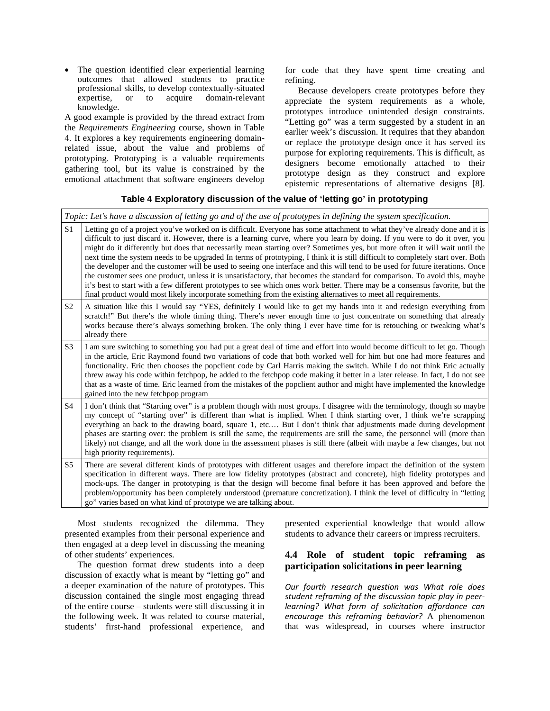• The question identified clear experiential learning outcomes that allowed students to practice professional skills, to develop contextually-situated<br>expertise, or to acquire domain-relevant expertise, or to knowledge.

A good example is provided by the thread extract from the *Requirements Engineering* course, shown in Table 4. It explores a key requirements engineering domainrelated issue, about the value and problems of prototyping. Prototyping is a valuable requirements gathering tool, but its value is constrained by the emotional attachment that software engineers develop

for code that they have spent time creating and refining.

Because developers create prototypes before they appreciate the system requirements as a whole, prototypes introduce unintended design constraints. "Letting go" was a term suggested by a student in an earlier week's discussion. It requires that they abandon or replace the prototype design once it has served its purpose for exploring requirements. This is difficult, as designers become emotionally attached to their prototype design as they construct and explore epistemic representations of alternative designs [8].

#### **Table 4 Exploratory discussion of the value of 'letting go' in prototyping**

*Topic: Let's have a discussion of letting go and of the use of prototypes in defining the system specification.* 

| $\rm S1$       | Letting go of a project you've worked on is difficult. Everyone has some attachment to what they've already done and it is<br>difficult to just discard it. However, there is a learning curve, where you learn by doing. If you were to do it over, you<br>might do it differently but does that necessarily mean starting over? Sometimes yes, but more often it will wait until the<br>next time the system needs to be upgraded In terms of prototyping, I think it is still difficult to completely start over. Both<br>the developer and the customer will be used to seeing one interface and this will tend to be used for future iterations. Once<br>the customer sees one product, unless it is unsatisfactory, that becomes the standard for comparison. To avoid this, maybe<br>it's best to start with a few different prototypes to see which ones work better. There may be a consensus favorite, but the<br>final product would most likely incorporate something from the existing alternatives to meet all requirements. |
|----------------|--------------------------------------------------------------------------------------------------------------------------------------------------------------------------------------------------------------------------------------------------------------------------------------------------------------------------------------------------------------------------------------------------------------------------------------------------------------------------------------------------------------------------------------------------------------------------------------------------------------------------------------------------------------------------------------------------------------------------------------------------------------------------------------------------------------------------------------------------------------------------------------------------------------------------------------------------------------------------------------------------------------------------------------------|
| S <sub>2</sub> | A situation like this I would say "YES, definitely I would like to get my hands into it and redesign everything from<br>scratch!" But there's the whole timing thing. There's never enough time to just concentrate on something that already<br>works because there's always something broken. The only thing I ever have time for is retouching or tweaking what's<br>already there                                                                                                                                                                                                                                                                                                                                                                                                                                                                                                                                                                                                                                                      |
| S <sub>3</sub> | I am sure switching to something you had put a great deal of time and effort into would become difficult to let go. Though<br>in the article, Eric Raymond found two variations of code that both worked well for him but one had more features and<br>functionality. Eric then chooses the popclient code by Carl Harris making the switch. While I do not think Eric actually<br>threw away his code within fetchpop, he added to the fetchpop code making it better in a later release. In fact, I do not see<br>that as a waste of time. Eric learned from the mistakes of the popclient author and might have implemented the knowledge<br>gained into the new fetchpop program                                                                                                                                                                                                                                                                                                                                                       |
| S <sub>4</sub> | I don't think that "Starting over" is a problem though with most groups. I disagree with the terminology, though so maybe<br>my concept of "starting over" is different than what is implied. When I think starting over, I think we're scrapping<br>everything an back to the drawing board, square 1, etc But I don't think that adjustments made during development<br>phases are starting over: the problem is still the same, the requirements are still the same, the personnel will (more than<br>likely) not change, and all the work done in the assessment phases is still there (albeit with maybe a few changes, but not<br>high priority requirements).                                                                                                                                                                                                                                                                                                                                                                       |
| S <sub>5</sub> | There are several different kinds of prototypes with different usages and therefore impact the definition of the system<br>specification in different ways. There are low fidelity prototypes (abstract and concrete), high fidelity prototypes and<br>mock-ups. The danger in prototyping is that the design will become final before it has been approved and before the<br>problem/opportunity has been completely understood (premature concretization). I think the level of difficulty in "letting<br>go" varies based on what kind of prototype we are talking about.                                                                                                                                                                                                                                                                                                                                                                                                                                                               |

Most students recognized the dilemma. They presented examples from their personal experience and then engaged at a deep level in discussing the meaning of other students' experiences.

The question format drew students into a deep discussion of exactly what is meant by "letting go" and a deeper examination of the nature of prototypes. This discussion contained the single most engaging thread of the entire course – students were still discussing it in the following week. It was related to course material, students' first-hand professional experience, and

presented experiential knowledge that would allow students to advance their careers or impress recruiters.

## **4.4 Role of student topic reframing as participation solicitations in peer learning**

*Our fourth research question was What role does student reframing of the discussion topic play in peerlearning? What form of solicitation affordance can encourage this reframing behavior?* A phenomenon that was widespread, in courses where instructor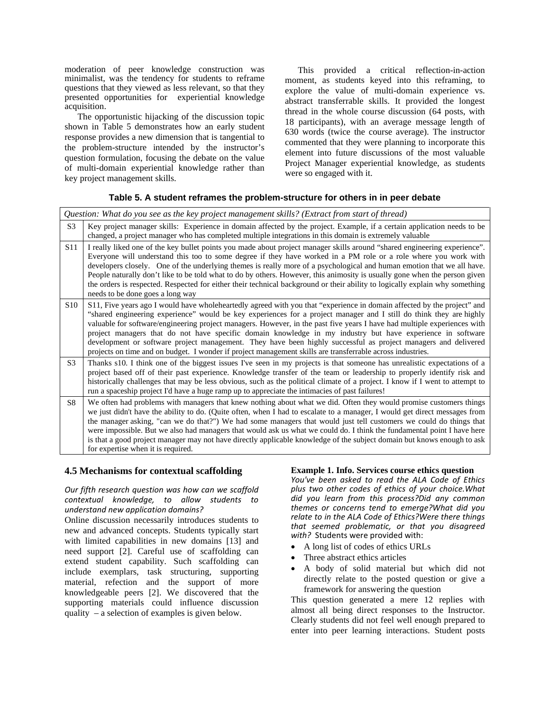moderation of peer knowledge construction was minimalist, was the tendency for students to reframe questions that they viewed as less relevant, so that they presented opportunities for experiential knowledge acquisition.

The opportunistic hijacking of the discussion topic shown in Table 5 demonstrates how an early student response provides a new dimension that is tangential to the problem-structure intended by the instructor's question formulation, focusing the debate on the value of multi-domain experiential knowledge rather than key project management skills.

This provided a critical reflection-in-action moment, as students keyed into this reframing, to explore the value of multi-domain experience vs. abstract transferrable skills. It provided the longest thread in the whole course discussion (64 posts, with 18 participants), with an average message length of 630 words (twice the course average). The instructor commented that they were planning to incorporate this element into future discussions of the most valuable Project Manager experiential knowledge, as students were so engaged with it.

#### **Table 5. A student reframes the problem-structure for others in in peer debate**

|                 | Question: What do you see as the key project management skills? (Extract from start of thread)                                                                                                                                                                                                                                                                                                                                                                                                                                                                                                                                                                                                                           |  |  |
|-----------------|--------------------------------------------------------------------------------------------------------------------------------------------------------------------------------------------------------------------------------------------------------------------------------------------------------------------------------------------------------------------------------------------------------------------------------------------------------------------------------------------------------------------------------------------------------------------------------------------------------------------------------------------------------------------------------------------------------------------------|--|--|
| S <sub>3</sub>  | Key project manager skills: Experience in domain affected by the project. Example, if a certain application needs to be<br>changed, a project manager who has completed multiple integrations in this domain is extremely valuable                                                                                                                                                                                                                                                                                                                                                                                                                                                                                       |  |  |
| S <sub>11</sub> | I really liked one of the key bullet points you made about project manager skills around "shared engineering experience".<br>Everyone will understand this too to some degree if they have worked in a PM role or a role where you work with<br>developers closely. One of the underlying themes is really more of a psychological and human emotion that we all have.<br>People naturally don't like to be told what to do by others. However, this animosity is usually gone when the person given<br>the orders is respected. Respected for either their technical background or their ability to logically explain why something<br>needs to be done goes a long way                                                 |  |  |
| S <sub>10</sub> | S11, Five years ago I would have wholeheartedly agreed with you that "experience in domain affected by the project" and<br>"shared engineering experience" would be key experiences for a project manager and I still do think they are highly<br>valuable for software/engineering project managers. However, in the past five years I have had multiple experiences with<br>project managers that do not have specific domain knowledge in my industry but have experience in software<br>development or software project management. They have been highly successful as project managers and delivered<br>projects on time and on budget. I wonder if project management skills are transferrable across industries. |  |  |
| S <sub>3</sub>  | Thanks s10. I think one of the biggest issues I've seen in my projects is that someone has unrealistic expectations of a<br>project based off of their past experience. Knowledge transfer of the team or leadership to properly identify risk and<br>historically challenges that may be less obvious, such as the political climate of a project. I know if I went to attempt to<br>run a spaceship project I'd have a huge ramp up to appreciate the intimacies of past failures!                                                                                                                                                                                                                                     |  |  |
| S8              | We often had problems with managers that knew nothing about what we did. Often they would promise customers things<br>we just didn't have the ability to do. (Quite often, when I had to escalate to a manager, I would get direct messages from<br>the manager asking, "can we do that?") We had some managers that would just tell customers we could do things that<br>were impossible. But we also had managers that would ask us what we could do. I think the fundamental point I have here<br>is that a good project manager may not have directly applicable knowledge of the subject domain but knows enough to ask<br>for expertise when it is required.                                                       |  |  |

#### **4.5 Mechanisms for contextual scaffolding**

#### *Our fifth research question was how can we scaffold contextual knowledge, to allow students to understand new application domains?*

Online discussion necessarily introduces students to new and advanced concepts. Students typically start with limited capabilities in new domains [13] and need support [2]. Careful use of scaffolding can extend student capability. Such scaffolding can include exemplars, task structuring, supporting material, refection and the support of more knowledgeable peers [2]. We discovered that the supporting materials could influence discussion quality – a selection of examples is given below.

#### **Example 1. Info. Services course ethics question**

*You've been asked to read the ALA Code of Ethics plus two other codes of ethics of your choice.What did you learn from this process?Did any common themes or concerns tend to emerge?What did you relate to in the ALA Code of Ethics?Were there things that seemed problematic, or that you disagreed with?* Students were provided with:

- A long list of codes of ethics URLs
- Three abstract ethics articles
- A body of solid material but which did not directly relate to the posted question or give a framework for answering the question

This question generated a mere 12 replies with almost all being direct responses to the Instructor. Clearly students did not feel well enough prepared to enter into peer learning interactions. Student posts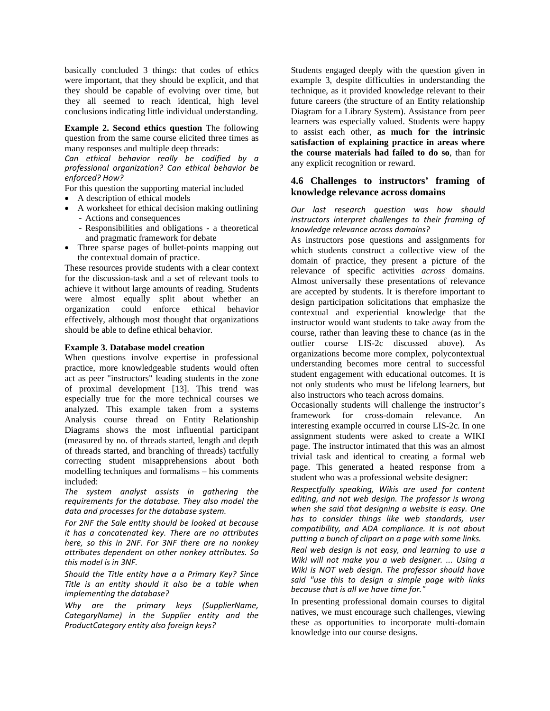basically concluded 3 things: that codes of ethics were important, that they should be explicit, and that they should be capable of evolving over time, but they all seemed to reach identical, high level conclusions indicating little individual understanding.

**Example 2. Second ethics question** The following question from the same course elicited three times as many responses and multiple deep threads:

*Can ethical behavior really be codified by a professional organization? Can ethical behavior be enforced? How?*

For this question the supporting material included

- A description of ethical models
- A worksheet for ethical decision making outlining - Actions and consequences
	- Responsibilities and obligations a theoretical and pragmatic framework for debate
- Three sparse pages of bullet-points mapping out the contextual domain of practice.

These resources provide students with a clear context for the discussion-task and a set of relevant tools to achieve it without large amounts of reading. Students were almost equally split about whether an organization could enforce ethical behavior effectively, although most thought that organizations should be able to define ethical behavior.

#### **Example 3. Database model creation**

When questions involve expertise in professional practice, more knowledgeable students would often act as peer "instructors" leading students in the zone of proximal development [13]. This trend was especially true for the more technical courses we analyzed. This example taken from a systems Analysis course thread on Entity Relationship Diagrams shows the most influential participant (measured by no. of threads started, length and depth of threads started, and branching of threads) tactfully correcting student misapprehensions about both modelling techniques and formalisms – his comments included:

*The system analyst assists in gathering the requirements for the database. They also model the data and processes for the database system.*

*For 2NF the Sale entity should be looked at because it has a concatenated key. There are no attributes here, so this in 2NF. For 3NF there are no nonkey attributes dependent on other nonkey attributes. So this model is in 3NF.*

*Should the Title entity have a a Primary Key? Since Title is an entity should it also be a table when implementing the database?*

*Why are the primary keys (SupplierName, CategoryName) in the Supplier entity and the ProductCategory entity also foreign keys?*

Students engaged deeply with the question given in example 3, despite difficulties in understanding the technique, as it provided knowledge relevant to their future careers (the structure of an Entity relationship Diagram for a Library System). Assistance from peer learners was especially valued. Students were happy to assist each other, **as much for the intrinsic satisfaction of explaining practice in areas where the course materials had failed to do so**, than for any explicit recognition or reward.

## **4.6 Challenges to instructors' framing of knowledge relevance across domains**

#### *Our last research question was how should instructors interpret challenges to their framing of knowledge relevance across domains?*

As instructors pose questions and assignments for which students construct a collective view of the domain of practice, they present a picture of the relevance of specific activities *across* domains. Almost universally these presentations of relevance are accepted by students. It is therefore important to design participation solicitations that emphasize the contextual and experiential knowledge that the instructor would want students to take away from the course, rather than leaving these to chance (as in the outlier course LIS-2c discussed above). As organizations become more complex, polycontextual understanding becomes more central to successful student engagement with educational outcomes. It is not only students who must be lifelong learners, but also instructors who teach across domains.

Occasionally students will challenge the instructor's framework for cross-domain relevance. An interesting example occurred in course LIS-2c. In one assignment students were asked to create a WIKI page. The instructor intimated that this was an almost trivial task and identical to creating a formal web page. This generated a heated response from a student who was a professional website designer:

*Respectfully speaking, Wikis are used for content editing, and not web design. The professor is wrong when she said that designing a website is easy. One has to consider things like web standards, user compatibility, and ADA compliance. It is not about putting a bunch of clipart on a page with some links.*

*Real web design is not easy, and learning to use a Wiki will not make you a web designer. ... Using a Wiki is NOT web design. The professor should have said "use this to design a simple page with links because that is all we have time for."*

In presenting professional domain courses to digital natives, we must encourage such challenges, viewing these as opportunities to incorporate multi-domain knowledge into our course designs.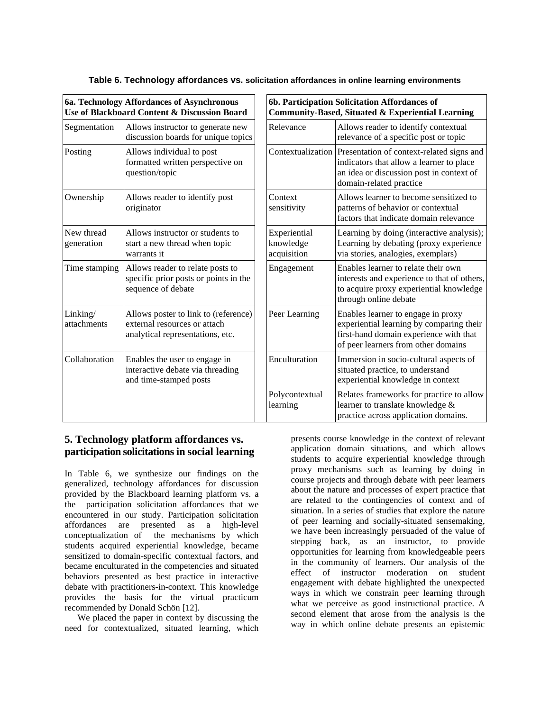|  | Table 6. Technology affordances vs. solicitation affordances in online learning environments |  |  |
|--|----------------------------------------------------------------------------------------------|--|--|
|--|----------------------------------------------------------------------------------------------|--|--|

|                          | 6b. Parti<br>6a. Technology Affordances of Asynchronous<br>Use of Blackboard Content & Discussion Board<br>Commun |                                     |
|--------------------------|-------------------------------------------------------------------------------------------------------------------|-------------------------------------|
| Segmentation             | Allows instructor to generate new<br>discussion boards for unique topics                                          | Relevance                           |
| Posting                  | Allows individual to post<br>formatted written perspective on<br>question/topic                                   | Contextua                           |
| Ownership                | Allows reader to identify post<br>originator                                                                      | Context<br>sensitivity              |
| New thread<br>generation | Allows instructor or students to<br>start a new thread when topic<br>warrants it                                  | Experient<br>knowledg<br>acquisitio |
| Time stamping            | Allows reader to relate posts to<br>specific prior posts or points in the<br>sequence of debate                   | Engagem                             |
| Linking/<br>attachments  | Allows poster to link to (reference)<br>external resources or attach<br>analytical representations, etc.          | Peer Lear                           |
| Collaboration            | Enables the user to engage in<br>interactive debate via threading<br>and time-stamped posts                       | Encultura                           |
|                          |                                                                                                                   | Polyconte<br>learning               |

| 6b. Participation Solicitation Affordances of<br>Community-Based, Situated & Experiential Learning |                                                                                                                                                                                  |  |
|----------------------------------------------------------------------------------------------------|----------------------------------------------------------------------------------------------------------------------------------------------------------------------------------|--|
| Relevance                                                                                          | Allows reader to identify contextual<br>relevance of a specific post or topic                                                                                                    |  |
|                                                                                                    | Contextualization   Presentation of context-related signs and<br>indicators that allow a learner to place<br>an idea or discussion post in context of<br>domain-related practice |  |
| Context<br>sensitivity                                                                             | Allows learner to become sensitized to<br>patterns of behavior or contextual<br>factors that indicate domain relevance                                                           |  |
| Experiential<br>knowledge<br>acquisition                                                           | Learning by doing (interactive analysis);<br>Learning by debating (proxy experience<br>via stories, analogies, exemplars)                                                        |  |
| Engagement                                                                                         | Enables learner to relate their own<br>interests and experience to that of others,<br>to acquire proxy experiential knowledge<br>through online debate                           |  |
| Peer Learning                                                                                      | Enables learner to engage in proxy<br>experiential learning by comparing their<br>first-hand domain experience with that<br>of peer learners from other domains                  |  |
| Enculturation                                                                                      | Immersion in socio-cultural aspects of<br>situated practice, to understand<br>experiential knowledge in context                                                                  |  |
| Polycontextual<br>learning                                                                         | Relates frameworks for practice to allow<br>learner to translate knowledge &<br>practice across application domains.                                                             |  |

## **5. Technology platform affordances vs. participation solicitationsin social learning**

In Table 6, we synthesize our findings on the generalized, technology affordances for discussion provided by the Blackboard learning platform vs. a the participation solicitation affordances that we encountered in our study. Participation solicitation affordances are presented as a high-level conceptualization of the mechanisms by which students acquired experiential knowledge, became sensitized to domain-specific contextual factors, and became enculturated in the competencies and situated behaviors presented as best practice in interactive debate with practitioners-in-context. This knowledge provides the basis for the virtual practicum recommended by Donald Schön [12].

We placed the paper in context by discussing the need for contextualized, situated learning, which

presents course knowledge in the context of relevant application domain situations, and which allows students to acquire experiential knowledge through proxy mechanisms such as learning by doing in course projects and through debate with peer learners about the nature and processes of expert practice that are related to the contingencies of context and of situation. In a series of studies that explore the nature of peer learning and socially-situated sensemaking, we have been increasingly persuaded of the value of stepping back, as an instructor, to provide opportunities for learning from knowledgeable peers in the community of learners. Our analysis of the effect of instructor moderation on student engagement with debate highlighted the unexpected ways in which we constrain peer learning through what we perceive as good instructional practice. A second element that arose from the analysis is the way in which online debate presents an epistemic